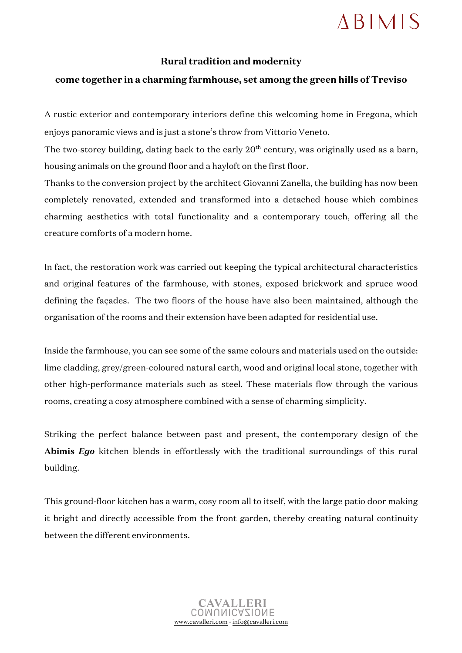## **ABIMIS**

## **Rural tradition and modernity**

## **come together in a charming farmhouse, set among the green hills of Treviso**

A rustic exterior and contemporary interiors define this welcoming home in Fregona, which enjoys panoramic views and is just a stone's throw from Vittorio Veneto.

The two-storey building, dating back to the early  $20<sup>th</sup>$  century, was originally used as a barn, housing animals on the ground floor and a hayloft on the first floor.

Thanks to the conversion project by the architect Giovanni Zanella, the building has now been completely renovated, extended and transformed into a detached house which combines charming aesthetics with total functionality and a contemporary touch, offering all the creature comforts of a modern home.

In fact, the restoration work was carried out keeping the typical architectural characteristics and original features of the farmhouse, with stones, exposed brickwork and spruce wood defining the façades. The two floors of the house have also been maintained, although the organisation of the rooms and their extension have been adapted for residential use.

Inside the farmhouse, you can see some of the same colours and materials used on the outside: lime cladding, grey/green-coloured natural earth, wood and original local stone, together with other high-performance materials such as steel. These materials flow through the various rooms, creating a cosy atmosphere combined with a sense of charming simplicity.

Striking the perfect balance between past and present, the contemporary design of the **Abimis** *Ego* kitchen blends in effortlessly with the traditional surroundings of this rural building.

This ground-floor kitchen has a warm, cosy room all to itself, with the large patio door making it bright and directly accessible from the front garden, thereby creating natural continuity between the different environments.